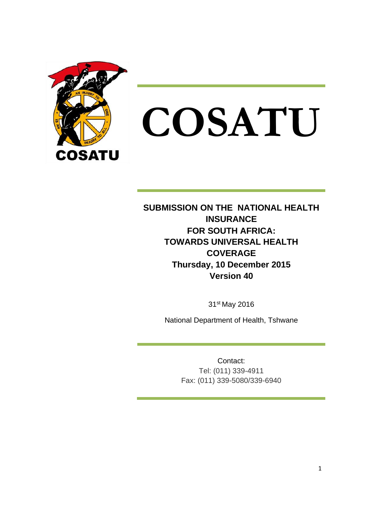

**COSATU**

**SUBMISSION ON THE NATIONAL HEALTH INSURANCE FOR SOUTH AFRICA: TOWARDS UNIVERSAL HEALTH COVERAGE Thursday, 10 December 2015 Version 40**

31st May 2016

National Department of Health, Tshwane

Contact: Tel: (011) 339-4911 Fax: (011) 339-5080/339-6940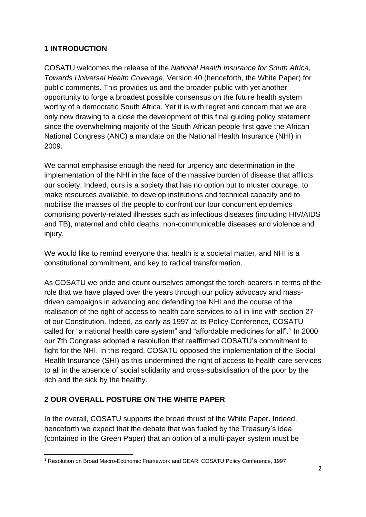### **1 INTRODUCTION**

COSATU welcomes the release of the *National Health Insurance for South Africa, Towards Universal Health Coverage*, Version 40 (henceforth, the White Paper) for public comments. This provides us and the broader public with yet another opportunity to forge a broadest possible consensus on the future health system worthy of a democratic South Africa. Yet it is with regret and concern that we are only now drawing to a close the development of this final guiding policy statement since the overwhelming majority of the South African people first gave the African National Congress (ANC) a mandate on the National Health Insurance (NHI) in 2009.

We cannot emphasise enough the need for urgency and determination in the implementation of the NHI in the face of the massive burden of disease that afflicts our society. Indeed, ours is a society that has no option but to muster courage, to make resources available, to develop institutions and technical capacity and to mobilise the masses of the people to confront our four concurrent epidemics comprising poverty-related illnesses such as infectious diseases (including HIV/AIDS and TB), maternal and child deaths, non-communicable diseases and violence and injury.

We would like to remind everyone that health is a societal matter, and NHI is a constitutional commitment, and key to radical transformation.

As COSATU we pride and count ourselves amongst the torch-bearers in terms of the role that we have played over the years through our policy advocacy and massdriven campaigns in advancing and defending the NHI and the course of the realisation of the right of access to health care services to all in line with section 27 of our Constitution. Indeed, as early as 1997 at its Policy Conference, COSATU called for "a national health care system" and "affordable medicines for all".<sup>1</sup> In 2000 our 7th Congress adopted a resolution that reaffirmed COSATU's commitment to fight for the NHI. In this regard, COSATU opposed the implementation of the Social Health Insurance (SHI) as this undermined the right of access to health care services to all in the absence of social solidarity and cross-subsidisation of the poor by the rich and the sick by the healthy.

### **2 OUR OVERALL POSTURE ON THE WHITE PAPER**

In the overall, COSATU supports the broad thrust of the White Paper. Indeed, henceforth we expect that the debate that was fueled by the Treasury's idea (contained in the Green Paper) that an option of a multi-payer system must be

<sup>1</sup> Resolution on Broad Macro-Economic Framework and GEAR: COSATU Policy Conference, 1997.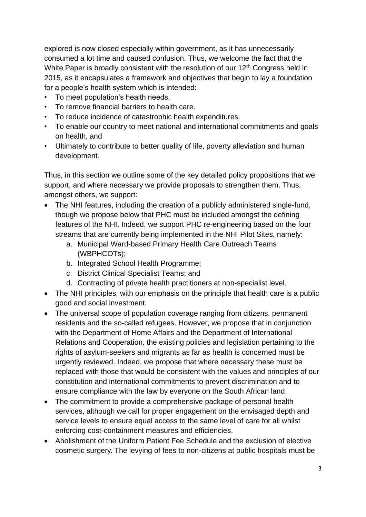explored is now closed especially within government, as it has unnecessarily consumed a lot time and caused confusion. Thus, we welcome the fact that the White Paper is broadly consistent with the resolution of our 12<sup>th</sup> Congress held in 2015, as it encapsulates a framework and objectives that begin to lay a foundation for a people's health system which is intended:

- To meet population's health needs.
- To remove financial barriers to health care.
- To reduce incidence of catastrophic health expenditures.
- To enable our country to meet national and international commitments and goals on health, and
- Ultimately to contribute to better quality of life, poverty alleviation and human development.

Thus, in this section we outline some of the key detailed policy propositions that we support, and where necessary we provide proposals to strengthen them. Thus, amongst others, we support:

- The NHI features, including the creation of a publicly administered single-fund, though we propose below that PHC must be included amongst the defining features of the NHI. Indeed, we support PHC re-engineering based on the four streams that are currently being implemented in the NHI Pilot Sites, namely:
	- a. Municipal Ward-based Primary Health Care Outreach Teams (WBPHCOTs);
	- b. Integrated School Health Programme;
	- c. District Clinical Specialist Teams; and
	- d. Contracting of private health practitioners at non-specialist level.
- The NHI principles, with our emphasis on the principle that health care is a public good and social investment.
- The universal scope of population coverage ranging from citizens, permanent residents and the so-called refugees. However, we propose that in conjunction with the Department of Home Affairs and the Department of International Relations and Cooperation, the existing policies and legislation pertaining to the rights of asylum-seekers and migrants as far as health is concerned must be urgently reviewed. Indeed, we propose that where necessary these must be replaced with those that would be consistent with the values and principles of our constitution and international commitments to prevent discrimination and to ensure compliance with the law by everyone on the South African land.
- The commitment to provide a comprehensive package of personal health services, although we call for proper engagement on the envisaged depth and service levels to ensure equal access to the same level of care for all whilst enforcing cost-containment measures and efficiencies.
- Abolishment of the Uniform Patient Fee Schedule and the exclusion of elective cosmetic surgery. The levying of fees to non-citizens at public hospitals must be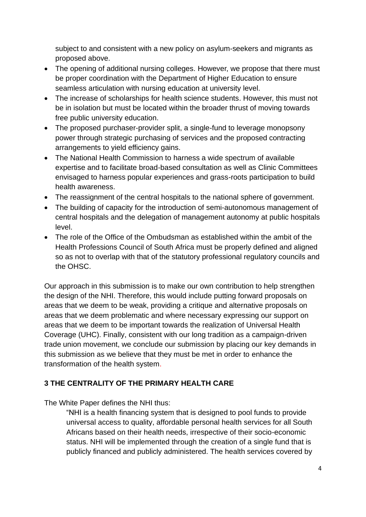subject to and consistent with a new policy on asylum-seekers and migrants as proposed above.

- The opening of additional nursing colleges. However, we propose that there must be proper coordination with the Department of Higher Education to ensure seamless articulation with nursing education at university level.
- The increase of scholarships for health science students. However, this must not be in isolation but must be located within the broader thrust of moving towards free public university education.
- The proposed purchaser-provider split, a single-fund to leverage monopsony power through strategic purchasing of services and the proposed contracting arrangements to yield efficiency gains.
- The National Health Commission to harness a wide spectrum of available expertise and to facilitate broad-based consultation as well as Clinic Committees envisaged to harness popular experiences and grass-roots participation to build health awareness.
- The reassignment of the central hospitals to the national sphere of government.
- The building of capacity for the introduction of semi-autonomous management of central hospitals and the delegation of management autonomy at public hospitals level.
- The role of the Office of the Ombudsman as established within the ambit of the Health Professions Council of South Africa must be properly defined and aligned so as not to overlap with that of the statutory professional regulatory councils and the OHSC.

Our approach in this submission is to make our own contribution to help strengthen the design of the NHI. Therefore, this would include putting forward proposals on areas that we deem to be weak, providing a critique and alternative proposals on areas that we deem problematic and where necessary expressing our support on areas that we deem to be important towards the realization of Universal Health Coverage (UHC). Finally, consistent with our long tradition as a campaign-driven trade union movement, we conclude our submission by placing our key demands in this submission as we believe that they must be met in order to enhance the transformation of the health system.

## **3 THE CENTRALITY OF THE PRIMARY HEALTH CARE**

The White Paper defines the NHI thus:

"NHI is a health financing system that is designed to pool funds to provide universal access to quality, affordable personal health services for all South Africans based on their health needs, irrespective of their socio-economic status. NHI will be implemented through the creation of a single fund that is publicly financed and publicly administered. The health services covered by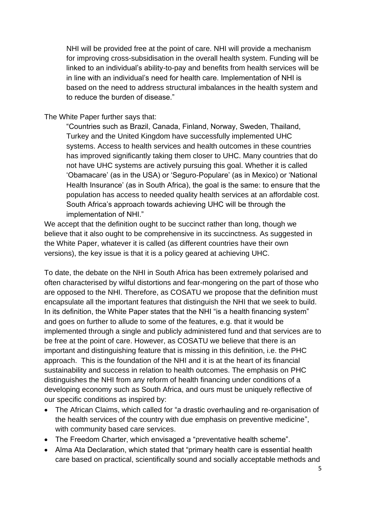NHI will be provided free at the point of care. NHI will provide a mechanism for improving cross-subsidisation in the overall health system. Funding will be linked to an individual's ability-to-pay and benefits from health services will be in line with an individual's need for health care. Implementation of NHI is based on the need to address structural imbalances in the health system and to reduce the burden of disease."

#### The White Paper further says that:

"Countries such as Brazil, Canada, Finland, Norway, Sweden, Thailand, Turkey and the United Kingdom have successfully implemented UHC systems. Access to health services and health outcomes in these countries has improved significantly taking them closer to UHC. Many countries that do not have UHC systems are actively pursuing this goal. Whether it is called 'Obamacare' (as in the USA) or 'Seguro-Populare' (as in Mexico) or 'National Health Insurance' (as in South Africa), the goal is the same: to ensure that the population has access to needed quality health services at an affordable cost. South Africa's approach towards achieving UHC will be through the implementation of NHI."

We accept that the definition ought to be succinct rather than long, though we believe that it also ought to be comprehensive in its succinctness. As suggested in the White Paper, whatever it is called (as different countries have their own versions), the key issue is that it is a policy geared at achieving UHC.

To date, the debate on the NHI in South Africa has been extremely polarised and often characterised by wilful distortions and fear-mongering on the part of those who are opposed to the NHI. Therefore, as COSATU we propose that the definition must encapsulate all the important features that distinguish the NHI that we seek to build. In its definition, the White Paper states that the NHI "is a health financing system" and goes on further to allude to some of the features, e.g. that it would be implemented through a single and publicly administered fund and that services are to be free at the point of care. However, as COSATU we believe that there is an important and distinguishing feature that is missing in this definition, i.e. the PHC approach. This is the foundation of the NHI and it is at the heart of its financial sustainability and success in relation to health outcomes. The emphasis on PHC distinguishes the NHI from any reform of health financing under conditions of a developing economy such as South Africa, and ours must be uniquely reflective of our specific conditions as inspired by:

- The African Claims, which called for "a drastic overhauling and re‐organisation of the health services of the country with due emphasis on preventive medicine", with community based care services.
- The Freedom Charter, which envisaged a "preventative health scheme".
- Alma Ata Declaration, which stated that "primary health care is essential health care based on practical, scientifically sound and socially acceptable methods and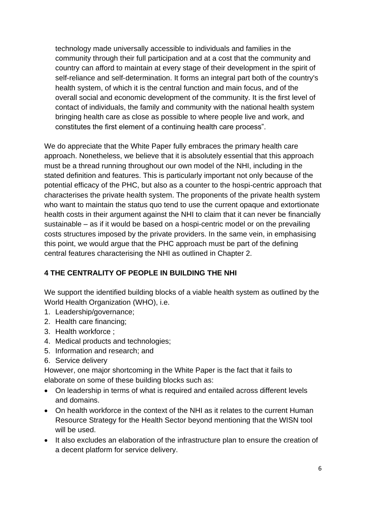technology made universally accessible to individuals and families in the community through their full participation and at a cost that the community and country can afford to maintain at every stage of their development in the spirit of self-reliance and self-determination. It forms an integral part both of the country's health system, of which it is the central function and main focus, and of the overall social and economic development of the community. It is the first level of contact of individuals, the family and community with the national health system bringing health care as close as possible to where people live and work, and constitutes the first element of a continuing health care process".

We do appreciate that the White Paper fully embraces the primary health care approach. Nonetheless, we believe that it is absolutely essential that this approach must be a thread running throughout our own model of the NHI, including in the stated definition and features. This is particularly important not only because of the potential efficacy of the PHC, but also as a counter to the hospi-centric approach that characterises the private health system. The proponents of the private health system who want to maintain the status quo tend to use the current opaque and extortionate health costs in their argument against the NHI to claim that it can never be financially sustainable – as if it would be based on a hospi-centric model or on the prevailing costs structures imposed by the private providers. In the same vein, in emphasising this point, we would argue that the PHC approach must be part of the defining central features characterising the NHI as outlined in Chapter 2.

## **4 THE CENTRALITY OF PEOPLE IN BUILDING THE NHI**

We support the identified building blocks of a viable health system as outlined by the World Health Organization (WHO), i.e.

- 1. Leadership/governance;
- 2. Health care financing;
- 3. Health workforce ;
- 4. Medical products and technologies;
- 5. Information and research; and
- 6. Service delivery

However, one major shortcoming in the White Paper is the fact that it fails to elaborate on some of these building blocks such as:

- On leadership in terms of what is required and entailed across different levels and domains.
- On health workforce in the context of the NHI as it relates to the current Human Resource Strategy for the Health Sector beyond mentioning that the WISN tool will be used.
- It also excludes an elaboration of the infrastructure plan to ensure the creation of a decent platform for service delivery.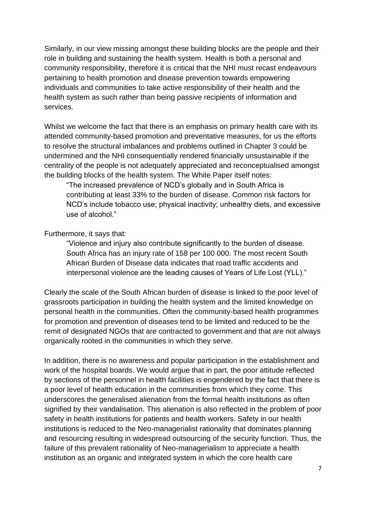Similarly, in our view missing amongst these building blocks are the people and their role in building and sustaining the health system. Health is both a personal and community responsibility, therefore it is critical that the NHI must recast endeavours pertaining to health promotion and disease prevention towards empowering individuals and communities to take active responsibility of their health and the health system as such rather than being passive recipients of information and services.

Whilst we welcome the fact that there is an emphasis on primary health care with its attended community-based promotion and preventative measures, for us the efforts to resolve the structural imbalances and problems outlined in Chapter 3 could be undermined and the NHI consequentially rendered financially unsustainable if the centrality of the people is not adequately appreciated and reconceptualised amongst the building blocks of the health system. The White Paper itself notes:

"The increased prevalence of NCD's globally and in South Africa is contributing at least 33% to the burden of disease. Common risk factors for NCD's include tobacco use; physical inactivity; unhealthy diets, and excessive use of alcohol."

#### Furthermore, it says that:

"Violence and injury also contribute significantly to the burden of disease. South Africa has an injury rate of 158 per 100 000. The most recent South African Burden of Disease data indicates that road traffic accidents and interpersonal violence are the leading causes of Years of Life Lost (YLL)."

Clearly the scale of the South African burden of disease is linked to the poor level of grassroots participation in building the health system and the limited knowledge on personal health in the communities. Often the community-based health programmes for promotion and prevention of diseases tend to be limited and reduced to be the remit of designated NGOs that are contracted to government and that are not always organically rooted in the communities in which they serve.

In addition, there is no awareness and popular participation in the establishment and work of the hospital boards. We would argue that in part, the poor attitude reflected by sections of the personnel in health facilities is engendered by the fact that there is a poor level of health education in the communities from which they come. This underscores the generalised alienation from the formal health institutions as often signified by their vandalisation. This alienation is also reflected in the problem of poor safety in health institutions for patients and health workers. Safety in our health institutions is reduced to the Neo-managerialist rationality that dominates planning and resourcing resulting in widespread outsourcing of the security function. Thus, the failure of this prevalent rationality of Neo-managerialism to appreciate a health institution as an organic and integrated system in which the core health care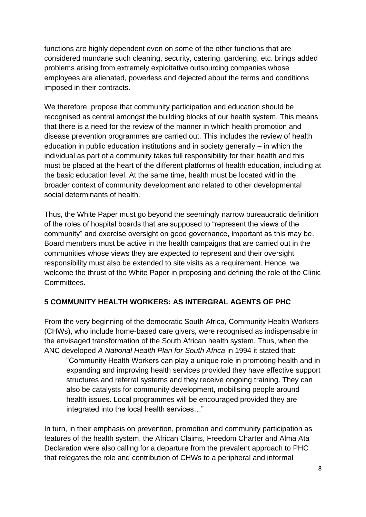functions are highly dependent even on some of the other functions that are considered mundane such cleaning, security, catering, gardening, etc. brings added problems arising from extremely exploitative outsourcing companies whose employees are alienated, powerless and dejected about the terms and conditions imposed in their contracts.

We therefore, propose that community participation and education should be recognised as central amongst the building blocks of our health system. This means that there is a need for the review of the manner in which health promotion and disease prevention programmes are carried out. This includes the review of health education in public education institutions and in society generally – in which the individual as part of a community takes full responsibility for their health and this must be placed at the heart of the different platforms of health education, including at the basic education level. At the same time, health must be located within the broader context of community development and related to other developmental social determinants of health.

Thus, the White Paper must go beyond the seemingly narrow bureaucratic definition of the roles of hospital boards that are supposed to "represent the views of the community" and exercise oversight on good governance, important as this may be. Board members must be active in the health campaigns that are carried out in the communities whose views they are expected to represent and their oversight responsibility must also be extended to site visits as a requirement. Hence, we welcome the thrust of the White Paper in proposing and defining the role of the Clinic Committees.

## **5 COMMUNITY HEALTH WORKERS: AS INTERGRAL AGENTS OF PHC**

From the very beginning of the democratic South Africa, Community Health Workers (CHWs), who include home-based care givers, were recognised as indispensable in the envisaged transformation of the South African health system. Thus, when the ANC developed *A National Health Plan for South Africa* in 1994 it stated that:

"Community Health Workers can play a unique role in promoting health and in expanding and improving health services provided they have effective support structures and referral systems and they receive ongoing training. They can also be catalysts for community development, mobilising people around health issues. Local programmes will be encouraged provided they are integrated into the local health services…"

In turn, in their emphasis on prevention, promotion and community participation as features of the health system, the African Claims, Freedom Charter and Alma Ata Declaration were also calling for a departure from the prevalent approach to PHC that relegates the role and contribution of CHWs to a peripheral and informal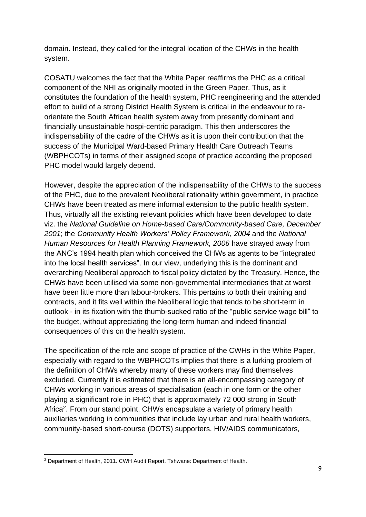domain. Instead, they called for the integral location of the CHWs in the health system.

COSATU welcomes the fact that the White Paper reaffirms the PHC as a critical component of the NHI as originally mooted in the Green Paper. Thus, as it constitutes the foundation of the health system, PHC reengineering and the attended effort to build of a strong District Health System is critical in the endeavour to reorientate the South African health system away from presently dominant and financially unsustainable hospi-centric paradigm. This then underscores the indispensability of the cadre of the CHWs as it is upon their contribution that the success of the Municipal Ward-based Primary Health Care Outreach Teams (WBPHCOTs) in terms of their assigned scope of practice according the proposed PHC model would largely depend.

However, despite the appreciation of the indispensability of the CHWs to the success of the PHC, due to the prevalent Neoliberal rationality within government, in practice CHWs have been treated as mere informal extension to the public health system. Thus, virtually all the existing relevant policies which have been developed to date viz. the *National Guideline on Home-based Care/Community-based Care, December 2001*; the *Community Health Workers' Policy Framework, 2004* and the *National Human Resources for Health Planning Framework, 2006* have strayed away from the ANC's 1994 health plan which conceived the CHWs as agents to be "integrated into the local health services". In our view, underlying this is the dominant and overarching Neoliberal approach to fiscal policy dictated by the Treasury. Hence, the CHWs have been utilised via some non-governmental intermediaries that at worst have been little more than labour-brokers. This pertains to both their training and contracts, and it fits well within the Neoliberal logic that tends to be short-term in outlook - in its fixation with the thumb-sucked ratio of the "public service wage bill" to the budget, without appreciating the long-term human and indeed financial consequences of this on the health system.

The specification of the role and scope of practice of the CWHs in the White Paper, especially with regard to the WBPHCOTs implies that there is a lurking problem of the definition of CHWs whereby many of these workers may find themselves excluded. Currently it is estimated that there is an all-encompassing category of CHWs working in various areas of specialisation (each in one form or the other playing a significant role in PHC) that is approximately 72 000 strong in South Africa<sup>2</sup>. From our stand point, CHWs encapsulate a variety of primary health auxiliaries working in communities that include lay urban and rural health workers, community-based short-course (DOTS) supporters, HIV/AIDS communicators,

<sup>2</sup> Department of Health, 2011. CWH Audit Report. Tshwane: Department of Health.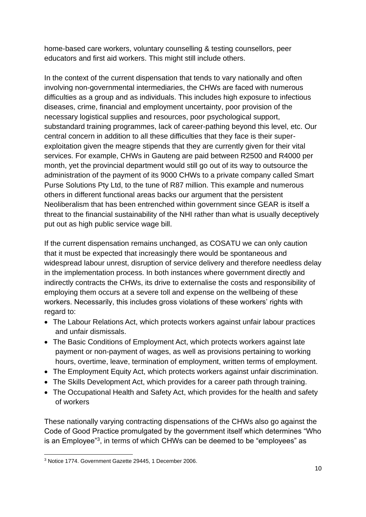home-based care workers, voluntary counselling & testing counsellors, peer educators and first aid workers. This might still include others.

In the context of the current dispensation that tends to vary nationally and often involving non-governmental intermediaries, the CHWs are faced with numerous difficulties as a group and as individuals. This includes high exposure to infectious diseases, crime, financial and employment uncertainty, poor provision of the necessary logistical supplies and resources, poor psychological support, substandard training programmes, lack of career-pathing beyond this level, etc. Our central concern in addition to all these difficulties that they face is their superexploitation given the meagre stipends that they are currently given for their vital services. For example, CHWs in Gauteng are paid between R2500 and R4000 per month, yet the provincial department would still go out of its way to outsource the administration of the payment of its 9000 CHWs to a private company called Smart Purse Solutions Pty Ltd, to the tune of R87 million. This example and numerous others in different functional areas backs our argument that the persistent Neoliberalism that has been entrenched within government since GEAR is itself a threat to the financial sustainability of the NHI rather than what is usually deceptively put out as high public service wage bill.

If the current dispensation remains unchanged, as COSATU we can only caution that it must be expected that increasingly there would be spontaneous and widespread labour unrest, disruption of service delivery and therefore needless delay in the implementation process. In both instances where government directly and indirectly contracts the CHWs, its drive to externalise the costs and responsibility of employing them occurs at a severe toll and expense on the wellbeing of these workers. Necessarily, this includes gross violations of these workers' rights with regard to:

- The Labour Relations Act, which protects workers against unfair labour practices and unfair dismissals.
- The Basic Conditions of Employment Act, which protects workers against late payment or non-payment of wages, as well as provisions pertaining to working hours, overtime, leave, termination of employment, written terms of employment.
- The Employment Equity Act, which protects workers against unfair discrimination.
- The Skills Development Act, which provides for a career path through training.
- The Occupational Health and Safety Act, which provides for the health and safety of workers

These nationally varying contracting dispensations of the CHWs also go against the Code of Good Practice promulgated by the government itself which determines "Who is an Employee"<sup>3</sup>, in terms of which CHWs can be deemed to be "employees" as

<sup>3</sup> Notice 1774. Government Gazette 29445, 1 December 2006.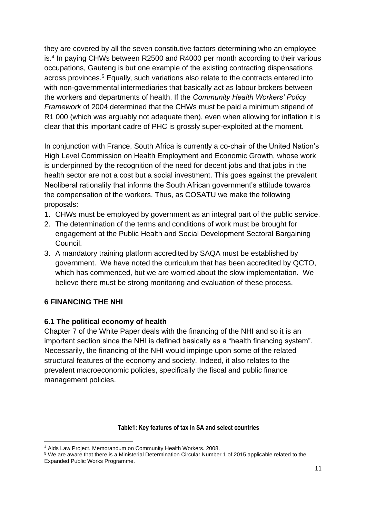they are covered by all the seven constitutive factors determining who an employee is.<sup>4</sup> In paying CHWs between R2500 and R4000 per month according to their various occupations, Gauteng is but one example of the existing contracting dispensations across provinces.<sup>5</sup> Equally, such variations also relate to the contracts entered into with non-governmental intermediaries that basically act as labour brokers between the workers and departments of health. If the *Community Health Workers' Policy Framework* of 2004 determined that the CHWs must be paid a minimum stipend of R1 000 (which was arguably not adequate then), even when allowing for inflation it is clear that this important cadre of PHC is grossly super-exploited at the moment.

In conjunction with France, South Africa is currently a co-chair of the United Nation's High Level Commission on Health Employment and Economic Growth, whose work is underpinned by the recognition of the need for decent jobs and that jobs in the health sector are not a cost but a social investment. This goes against the prevalent Neoliberal rationality that informs the South African government's attitude towards the compensation of the workers. Thus, as COSATU we make the following proposals:

- 1. CHWs must be employed by government as an integral part of the public service.
- 2. The determination of the terms and conditions of work must be brought for engagement at the Public Health and Social Development Sectoral Bargaining Council.
- 3. A mandatory training platform accredited by SAQA must be established by government. We have noted the curriculum that has been accredited by QCTO, which has commenced, but we are worried about the slow implementation. We believe there must be strong monitoring and evaluation of these process.

### **6 FINANCING THE NHI**

#### **6.1 The political economy of health**

Chapter 7 of the White Paper deals with the financing of the NHI and so it is an important section since the NHI is defined basically as a "health financing system". Necessarily, the financing of the NHI would impinge upon some of the related structural features of the economy and society. Indeed, it also relates to the prevalent macroeconomic policies, specifically the fiscal and public finance management policies.

#### **Table1: Key features of tax in SA and select countries**

<sup>4</sup> Aids Law Project. Memorandum on Community Health Workers. 2008.

<sup>5</sup> We are aware that there is a Ministerial Determination Circular Number 1 of 2015 applicable related to the Expanded Public Works Programme.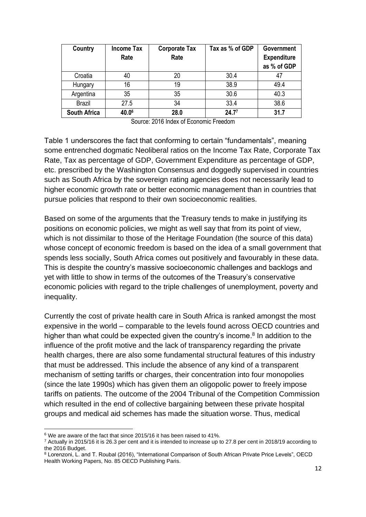| Country             | <b>Income Tax</b> | <b>Corporate Tax</b> | Tax as % of GDP | <b>Government</b>  |
|---------------------|-------------------|----------------------|-----------------|--------------------|
|                     | Rate              | Rate                 |                 | <b>Expenditure</b> |
|                     |                   |                      |                 | as % of GDP        |
| Croatia             | 40                | 20                   | 30.4            | 47                 |
| Hungary             | 16                | 19                   | 38.9            | 49.4               |
| Argentina           | 35                | 35                   | 30.6            | 40.3               |
| <b>Brazil</b>       | 27.5              | 34                   | 33.4            | 38.6               |
| <b>South Africa</b> | 40.06             | 28.0                 | 24.77           | 31.7               |

| Source: 2016 Index of Economic Freedom |
|----------------------------------------|
|----------------------------------------|

Table 1 underscores the fact that conforming to certain "fundamentals", meaning some entrenched dogmatic Neoliberal ratios on the Income Tax Rate, Corporate Tax Rate, Tax as percentage of GDP, Government Expenditure as percentage of GDP, etc. prescribed by the Washington Consensus and doggedly supervised in countries such as South Africa by the sovereign rating agencies does not necessarily lead to higher economic growth rate or better economic management than in countries that pursue policies that respond to their own socioeconomic realities.

Based on some of the arguments that the Treasury tends to make in justifying its positions on economic policies, we might as well say that from its point of view, which is not dissimilar to those of the Heritage Foundation (the source of this data) whose concept of economic freedom is based on the idea of a small government that spends less socially, South Africa comes out positively and favourably in these data. This is despite the country's massive socioeconomic challenges and backlogs and yet with little to show in terms of the outcomes of the Treasury's conservative economic policies with regard to the triple challenges of unemployment, poverty and inequality.

Currently the cost of private health care in South Africa is ranked amongst the most expensive in the world – comparable to the levels found across OECD countries and higher than what could be expected given the country's income.<sup>8</sup> In addition to the influence of the profit motive and the lack of transparency regarding the private health charges, there are also some fundamental structural features of this industry that must be addressed. This include the absence of any kind of a transparent mechanism of setting tariffs or charges, their concentration into four monopolies (since the late 1990s) which has given them an oligopolic power to freely impose tariffs on patients. The outcome of the 2004 Tribunal of the Competition Commission which resulted in the end of collective bargaining between these private hospital groups and medical aid schemes has made the situation worse. Thus, medical

<sup>&</sup>lt;sup>6</sup> We are aware of the fact that since 2015/16 it has been raised to 41%.

 $7$  Actually in 2015/16 it is 26.3 per cent and it is intended to increase up to 27.8 per cent in 2018/19 according to the 2016 Budget.

<sup>8</sup> Lorenzoni, L. and T. Roubal (2016), "International Comparison of South African Private Price Levels", OECD Health Working Papers, No. 85 OECD Publishing Paris.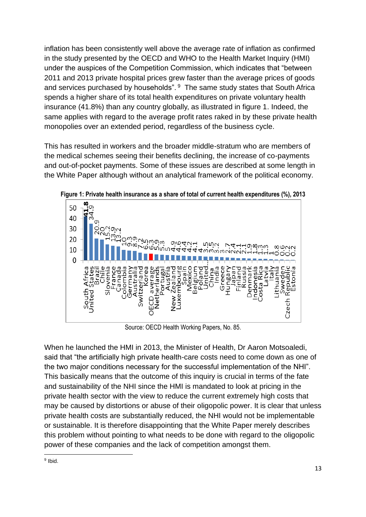inflation has been consistently well above the average rate of inflation as confirmed in the study presented by the OECD and WHO to the Health Market Inquiry (HMI) under the auspices of the Competition Commission, which indicates that "between 2011 and 2013 private hospital prices grew faster than the average prices of goods and services purchased by households". <sup>9</sup> The same study states that South Africa spends a higher share of its total health expenditures on private voluntary health insurance (41.8%) than any country globally, as illustrated in figure 1. Indeed, the same applies with regard to the average profit rates raked in by these private health monopolies over an extended period, regardless of the business cycle.

This has resulted in workers and the broader middle-stratum who are members of the medical schemes seeing their benefits declining, the increase of co-payments and out-of-pocket payments. Some of these issues are described at some length in the White Paper although without an analytical framework of the political economy.



**Figure 1: Private health insurance as a share of total of current health expenditures (%), 2013**

Source: OECD Health Working Papers, No. 85.

When he launched the HMI in 2013, the Minister of Health, Dr Aaron Motsoaledi, said that "the artificially high private health-care costs need to come down as one of the two major conditions necessary for the successful implementation of the NHI". This basically means that the outcome of this inquiry is crucial in terms of the fate and sustainability of the NHI since the HMI is mandated to look at pricing in the private health sector with the view to reduce the current extremely high costs that may be caused by distortions or abuse of their oligopolic power. It is clear that unless private health costs are substantially reduced, the NHI would not be implementable or sustainable. It is therefore disappointing that the White Paper merely describes this problem without pointing to what needs to be done with regard to the oligopolic power of these companies and the lack of competition amongst them.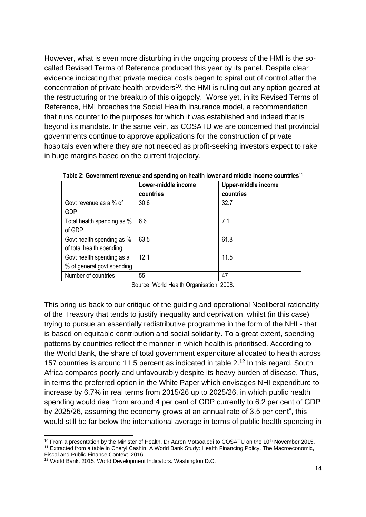However, what is even more disturbing in the ongoing process of the HMI is the socalled Revised Terms of Reference produced this year by its panel. Despite clear evidence indicating that private medical costs began to spiral out of control after the concentration of private health providers<sup>10</sup>, the HMI is ruling out any option geared at the restructuring or the breakup of this oligopoly. Worse yet, in its Revised Terms of Reference, HMI broaches the Social Health Insurance model, a recommendation that runs counter to the purposes for which it was established and indeed that is beyond its mandate. In the same vein, as COSATU we are concerned that provincial governments continue to approve applications for the construction of private hospitals even where they are not needed as profit-seeking investors expect to rake in huge margins based on the current trajectory.

|                            | Lower-middle income<br>countries | Upper-middle income<br>countries |
|----------------------------|----------------------------------|----------------------------------|
| Govt revenue as a % of     | 30.6                             | 32.7                             |
| <b>GDP</b>                 |                                  |                                  |
| Total health spending as % | 6.6                              | 7.1                              |
| of GDP                     |                                  |                                  |
| Govt health spending as %  | 63.5                             | 61.8                             |
| of total health spending   |                                  |                                  |
| Govt health spending as a  | 12.1                             | 11.5                             |
| % of general govt spending |                                  |                                  |
| Number of countries        | 55                               | 47                               |

**Table 2: Government revenue and spending on health lower and middle income countries**<sup>11</sup>

Source: World Health Organisation, 2008.

This bring us back to our critique of the guiding and operational Neoliberal rationality of the Treasury that tends to justify inequality and deprivation, whilst (in this case) trying to pursue an essentially redistributive programme in the form of the NHI - that is based on equitable contribution and social solidarity. To a great extent, spending patterns by countries reflect the manner in which health is prioritised. According to the World Bank, the share of total government expenditure allocated to health across 157 countries is around 11.5 percent as indicated in table 2.<sup>12</sup> In this regard, South Africa compares poorly and unfavourably despite its heavy burden of disease. Thus, in terms the preferred option in the White Paper which envisages NHI expenditure to increase by 6.7% in real terms from 2015/26 up to 2025/26, in which public health spending would rise "from around 4 per cent of GDP currently to 6.2 per cent of GDP by 2025/26, assuming the economy grows at an annual rate of 3.5 per cent", this would still be far below the international average in terms of public health spending in

 $10$  From a presentation by the Minister of Health, Dr Aaron Motsoaledi to COSATU on the 10<sup>th</sup> November 2015.

<sup>11</sup> Extracted from a table in Cheryl Cashin. A World Bank Study: Health Financing Policy. The Macroeconomic, Fiscal and Public Finance Context. 2016.

<sup>12</sup> World Bank. 2015. World Development Indicators. Washington D.C.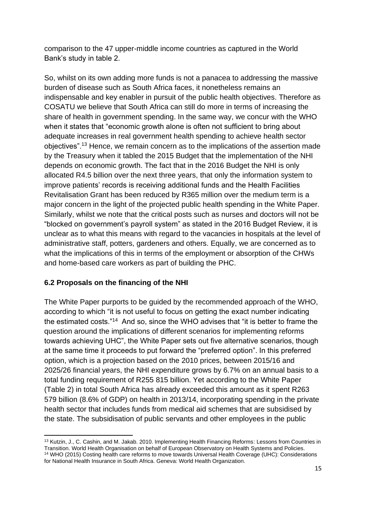comparison to the 47 upper-middle income countries as captured in the World Bank's study in table 2.

So, whilst on its own adding more funds is not a panacea to addressing the massive burden of disease such as South Africa faces, it nonetheless remains an indispensable and key enabler in pursuit of the public health objectives. Therefore as COSATU we believe that South Africa can still do more in terms of increasing the share of health in government spending. In the same way, we concur with the WHO when it states that "economic growth alone is often not sufficient to bring about adequate increases in real government health spending to achieve health sector objectives".<sup>13</sup> Hence, we remain concern as to the implications of the assertion made by the Treasury when it tabled the 2015 Budget that the implementation of the NHI depends on economic growth. The fact that in the 2016 Budget the NHI is only allocated R4.5 billion over the next three years, that only the information system to improve patients' records is receiving additional funds and the Health Facilities Revitalisation Grant has been reduced by R365 million over the medium term is a major concern in the light of the projected public health spending in the White Paper. Similarly, whilst we note that the critical posts such as nurses and doctors will not be "blocked on government's payroll system" as stated in the 2016 Budget Review, it is unclear as to what this means with regard to the vacancies in hospitals at the level of administrative staff, potters, gardeners and others. Equally, we are concerned as to what the implications of this in terms of the employment or absorption of the CHWs and home-based care workers as part of building the PHC.

## **6.2 Proposals on the financing of the NHI**

The White Paper purports to be guided by the recommended approach of the WHO, according to which "it is not useful to focus on getting the exact number indicating the estimated costs."<sup>14</sup> And so, since the WHO advises that "it is better to frame the question around the implications of different scenarios for implementing reforms towards achieving UHC", the White Paper sets out five alternative scenarios, though at the same time it proceeds to put forward the "preferred option". In this preferred option, which is a projection based on the 2010 prices, between 2015/16 and 2025/26 financial years, the NHI expenditure grows by 6.7% on an annual basis to a total funding requirement of R255 815 billion. Yet according to the White Paper (Table 2) in total South Africa has already exceeded this amount as it spent R263 579 billion (8.6% of GDP) on health in 2013/14, incorporating spending in the private health sector that includes funds from medical aid schemes that are subsidised by the state. The subsidisation of public servants and other employees in the public

<sup>13</sup> Kutzin, J., C. Cashin, and M. Jakab. 2010. Implementing Health Financing Reforms: Lessons from Countries in Transition. World Health Organisation on behalf of European Observatory on Health Systems and Policies. <sup>14</sup> WHO (2015) Costing health care reforms to move towards Universal Health Coverage (UHC): Considerations for National Health Insurance in South Africa. Geneva: World Health Organization.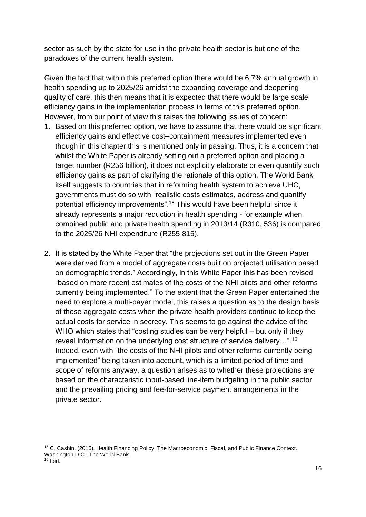sector as such by the state for use in the private health sector is but one of the paradoxes of the current health system.

Given the fact that within this preferred option there would be 6.7% annual growth in health spending up to 2025/26 amidst the expanding coverage and deepening quality of care, this then means that it is expected that there would be large scale efficiency gains in the implementation process in terms of this preferred option. However, from our point of view this raises the following issues of concern:

- 1. Based on this preferred option, we have to assume that there would be significant efficiency gains and effective cost–containment measures implemented even though in this chapter this is mentioned only in passing. Thus, it is a concern that whilst the White Paper is already setting out a preferred option and placing a target number (R256 billion), it does not explicitly elaborate or even quantify such efficiency gains as part of clarifying the rationale of this option. The World Bank itself suggests to countries that in reforming health system to achieve UHC, governments must do so with "realistic costs estimates, address and quantify potential efficiency improvements".<sup>15</sup> This would have been helpful since it already represents a major reduction in health spending - for example when combined public and private health spending in 2013/14 (R310, 536) is compared to the 2025/26 NHI expenditure (R255 815).
- 2. It is stated by the White Paper that "the projections set out in the Green Paper were derived from a model of aggregate costs built on projected utilisation based on demographic trends." Accordingly, in this White Paper this has been revised "based on more recent estimates of the costs of the NHI pilots and other reforms currently being implemented." To the extent that the Green Paper entertained the need to explore a multi-payer model, this raises a question as to the design basis of these aggregate costs when the private health providers continue to keep the actual costs for service in secrecy. This seems to go against the advice of the WHO which states that "costing studies can be very helpful – but only if they reveal information on the underlying cost structure of service delivery…".<sup>16</sup> Indeed, even with "the costs of the NHI pilots and other reforms currently being implemented" being taken into account, which is a limited period of time and scope of reforms anyway, a question arises as to whether these projections are based on the characteristic input-based line-item budgeting in the public sector and the prevailing pricing and fee-for-service payment arrangements in the private sector.

<sup>15</sup> C, Cashin. (2016). Health Financing Policy: The Macroeconomic, Fiscal, and Public Finance Context. Washington D.C.: The World Bank.

 $16$  Ibid.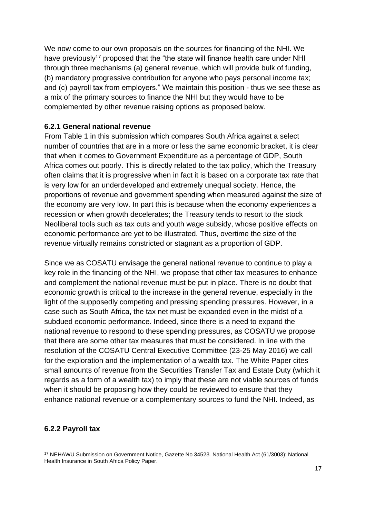We now come to our own proposals on the sources for financing of the NHI. We have previously<sup>17</sup> proposed that the "the state will finance health care under NHI through three mechanisms (a) general revenue, which will provide bulk of funding, (b) mandatory progressive contribution for anyone who pays personal income tax; and (c) payroll tax from employers." We maintain this position - thus we see these as a mix of the primary sources to finance the NHI but they would have to be complemented by other revenue raising options as proposed below.

### **6.2.1 General national revenue**

From Table 1 in this submission which compares South Africa against a select number of countries that are in a more or less the same economic bracket, it is clear that when it comes to Government Expenditure as a percentage of GDP, South Africa comes out poorly. This is directly related to the tax policy, which the Treasury often claims that it is progressive when in fact it is based on a corporate tax rate that is very low for an underdeveloped and extremely unequal society. Hence, the proportions of revenue and government spending when measured against the size of the economy are very low. In part this is because when the economy experiences a recession or when growth decelerates; the Treasury tends to resort to the stock Neoliberal tools such as tax cuts and youth wage subsidy, whose positive effects on economic performance are yet to be illustrated. Thus, overtime the size of the revenue virtually remains constricted or stagnant as a proportion of GDP.

Since we as COSATU envisage the general national revenue to continue to play a key role in the financing of the NHI, we propose that other tax measures to enhance and complement the national revenue must be put in place. There is no doubt that economic growth is critical to the increase in the general revenue, especially in the light of the supposedly competing and pressing spending pressures. However, in a case such as South Africa, the tax net must be expanded even in the midst of a subdued economic performance. Indeed, since there is a need to expand the national revenue to respond to these spending pressures, as COSATU we propose that there are some other tax measures that must be considered. In line with the resolution of the COSATU Central Executive Committee (23-25 May 2016) we call for the exploration and the implementation of a wealth tax. The White Paper cites small amounts of revenue from the Securities Transfer Tax and Estate Duty (which it regards as a form of a wealth tax) to imply that these are not viable sources of funds when it should be proposing how they could be reviewed to ensure that they enhance national revenue or a complementary sources to fund the NHI. Indeed, as

### **6.2.2 Payroll tax**

<sup>17</sup> NEHAWU Submission on Government Notice, Gazette No 34523. National Health Act (61/3003): National Health Insurance in South Africa Policy Paper.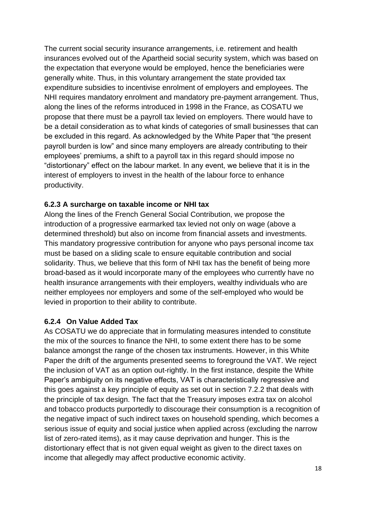The current social security insurance arrangements, i.e. retirement and health insurances evolved out of the Apartheid social security system, which was based on the expectation that everyone would be employed, hence the beneficiaries were generally white. Thus, in this voluntary arrangement the state provided tax expenditure subsidies to incentivise enrolment of employers and employees. The NHI requires mandatory enrolment and mandatory pre-payment arrangement. Thus, along the lines of the reforms introduced in 1998 in the France, as COSATU we propose that there must be a payroll tax levied on employers. There would have to be a detail consideration as to what kinds of categories of small businesses that can be excluded in this regard. As acknowledged by the White Paper that "the present payroll burden is low" and since many employers are already contributing to their employees' premiums, a shift to a payroll tax in this regard should impose no "distortionary" effect on the labour market. In any event, we believe that it is in the interest of employers to invest in the health of the labour force to enhance productivity.

### **6.2.3 A surcharge on taxable income or NHI tax**

Along the lines of the French General Social Contribution, we propose the introduction of a progressive earmarked tax levied not only on wage (above a determined threshold) but also on income from financial assets and investments. This mandatory progressive contribution for anyone who pays personal income tax must be based on a sliding scale to ensure equitable contribution and social solidarity. Thus, we believe that this form of NHI tax has the benefit of being more broad-based as it would incorporate many of the employees who currently have no health insurance arrangements with their employers, wealthy individuals who are neither employees nor employers and some of the self-employed who would be levied in proportion to their ability to contribute.

#### **6.2.4 On Value Added Tax**

As COSATU we do appreciate that in formulating measures intended to constitute the mix of the sources to finance the NHI, to some extent there has to be some balance amongst the range of the chosen tax instruments. However, in this White Paper the drift of the arguments presented seems to foreground the VAT. We reject the inclusion of VAT as an option out-rightly. In the first instance, despite the White Paper's ambiguity on its negative effects, VAT is characteristically regressive and this goes against a key principle of equity as set out in section 7.2.2 that deals with the principle of tax design. The fact that the Treasury imposes extra tax on alcohol and tobacco products purportedly to discourage their consumption is a recognition of the negative impact of such indirect taxes on household spending, which becomes a serious issue of equity and social justice when applied across (excluding the narrow list of zero-rated items), as it may cause deprivation and hunger. This is the distortionary effect that is not given equal weight as given to the direct taxes on income that allegedly may affect productive economic activity.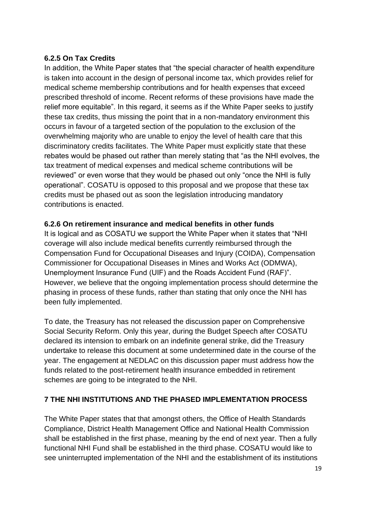### **6.2.5 On Tax Credits**

In addition, the White Paper states that "the special character of health expenditure is taken into account in the design of personal income tax, which provides relief for medical scheme membership contributions and for health expenses that exceed prescribed threshold of income. Recent reforms of these provisions have made the relief more equitable". In this regard, it seems as if the White Paper seeks to justify these tax credits, thus missing the point that in a non-mandatory environment this occurs in favour of a targeted section of the population to the exclusion of the overwhelming majority who are unable to enjoy the level of health care that this discriminatory credits facilitates. The White Paper must explicitly state that these rebates would be phased out rather than merely stating that "as the NHI evolves, the tax treatment of medical expenses and medical scheme contributions will be reviewed" or even worse that they would be phased out only "once the NHI is fully operational". COSATU is opposed to this proposal and we propose that these tax credits must be phased out as soon the legislation introducing mandatory contributions is enacted.

### **6.2.6 On retirement insurance and medical benefits in other funds**

It is logical and as COSATU we support the White Paper when it states that "NHI coverage will also include medical benefits currently reimbursed through the Compensation Fund for Occupational Diseases and Injury (COIDA), Compensation Commissioner for Occupational Diseases in Mines and Works Act (ODMWA), Unemployment Insurance Fund (UIF) and the Roads Accident Fund (RAF)". However, we believe that the ongoing implementation process should determine the phasing in process of these funds, rather than stating that only once the NHI has been fully implemented.

To date, the Treasury has not released the discussion paper on Comprehensive Social Security Reform. Only this year, during the Budget Speech after COSATU declared its intension to embark on an indefinite general strike, did the Treasury undertake to release this document at some undetermined date in the course of the year. The engagement at NEDLAC on this discussion paper must address how the funds related to the post-retirement health insurance embedded in retirement schemes are going to be integrated to the NHI.

### **7 THE NHI INSTITUTIONS AND THE PHASED IMPLEMENTATION PROCESS**

The White Paper states that that amongst others, the Office of Health Standards Compliance, District Health Management Office and National Health Commission shall be established in the first phase, meaning by the end of next year. Then a fully functional NHI Fund shall be established in the third phase. COSATU would like to see uninterrupted implementation of the NHI and the establishment of its institutions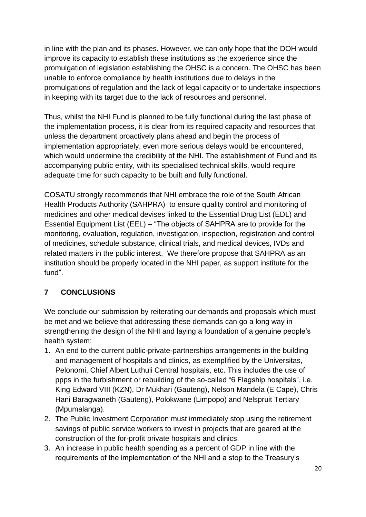in line with the plan and its phases. However, we can only hope that the DOH would improve its capacity to establish these institutions as the experience since the promulgation of legislation establishing the OHSC is a concern. The OHSC has been unable to enforce compliance by health institutions due to delays in the promulgations of regulation and the lack of legal capacity or to undertake inspections in keeping with its target due to the lack of resources and personnel.

Thus, whilst the NHI Fund is planned to be fully functional during the last phase of the implementation process, it is clear from its required capacity and resources that unless the department proactively plans ahead and begin the process of implementation appropriately, even more serious delays would be encountered, which would undermine the credibility of the NHI. The establishment of Fund and its accompanying public entity, with its specialised technical skills, would require adequate time for such capacity to be built and fully functional.

COSATU strongly recommends that NHI embrace the role of the South African Health Products Authority (SAHPRA) to ensure quality control and monitoring of medicines and other medical devises linked to the Essential Drug List (EDL) and Essential Equipment List (EEL) – "The objects of SAHPRA are to provide for the monitoring, evaluation, regulation, investigation, inspection, registration and control of medicines, schedule substance, clinical trials, and medical devices, IVDs and related matters in the public interest. We therefore propose that SAHPRA as an institution should be properly located in the NHI paper, as support institute for the fund".

# **7 CONCLUSIONS**

We conclude our submission by reiterating our demands and proposals which must be met and we believe that addressing these demands can go a long way in strengthening the design of the NHI and laying a foundation of a genuine people's health system:

- 1. An end to the current public-private-partnerships arrangements in the building and management of hospitals and clinics, as exemplified by the Universitas, Pelonomi, Chief Albert Luthuli Central hospitals, etc. This includes the use of ppps in the furbishment or rebuilding of the so-called "6 Flagship hospitals", i.e. King Edward VIII (KZN), Dr Mukhari (Gauteng), Nelson Mandela (E Cape), Chris Hani Baragwaneth (Gauteng), Polokwane (Limpopo) and Nelspruit Tertiary (Mpumalanga).
- 2. The Public Investment Corporation must immediately stop using the retirement savings of public service workers to invest in projects that are geared at the construction of the for-profit private hospitals and clinics.
- 3. An increase in public health spending as a percent of GDP in line with the requirements of the implementation of the NHI and a stop to the Treasury's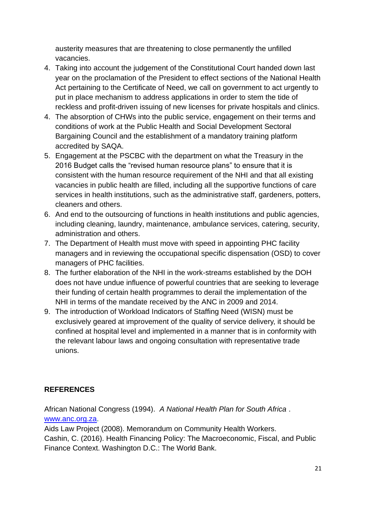austerity measures that are threatening to close permanently the unfilled vacancies.

- 4. Taking into account the judgement of the Constitutional Court handed down last year on the proclamation of the President to effect sections of the National Health Act pertaining to the Certificate of Need, we call on government to act urgently to put in place mechanism to address applications in order to stem the tide of reckless and profit-driven issuing of new licenses for private hospitals and clinics.
- 4. The absorption of CHWs into the public service, engagement on their terms and conditions of work at the Public Health and Social Development Sectoral Bargaining Council and the establishment of a mandatory training platform accredited by SAQA.
- 5. Engagement at the PSCBC with the department on what the Treasury in the 2016 Budget calls the "revised human resource plans" to ensure that it is consistent with the human resource requirement of the NHI and that all existing vacancies in public health are filled, including all the supportive functions of care services in health institutions, such as the administrative staff, gardeners, potters, cleaners and others.
- 6. And end to the outsourcing of functions in health institutions and public agencies, including cleaning, laundry, maintenance, ambulance services, catering, security, administration and others.
- 7. The Department of Health must move with speed in appointing PHC facility managers and in reviewing the occupational specific dispensation (OSD) to cover managers of PHC facilities.
- 8. The further elaboration of the NHI in the work-streams established by the DOH does not have undue influence of powerful countries that are seeking to leverage their funding of certain health programmes to derail the implementation of the NHI in terms of the mandate received by the ANC in 2009 and 2014.
- 9. The introduction of Workload Indicators of Staffing Need (WISN) must be exclusively geared at improvement of the quality of service delivery, it should be confined at hospital level and implemented in a manner that is in conformity with the relevant labour laws and ongoing consultation with representative trade unions.

# **REFERENCES**

African National Congress (1994).*A National Health Plan for South Africa* .

[www.anc.org.za.](http://www.anc.org.za/)

Aids Law Project (2008). Memorandum on Community Health Workers. Cashin, C. (2016). Health Financing Policy: The Macroeconomic, Fiscal, and Public Finance Context. Washington D.C.: The World Bank.